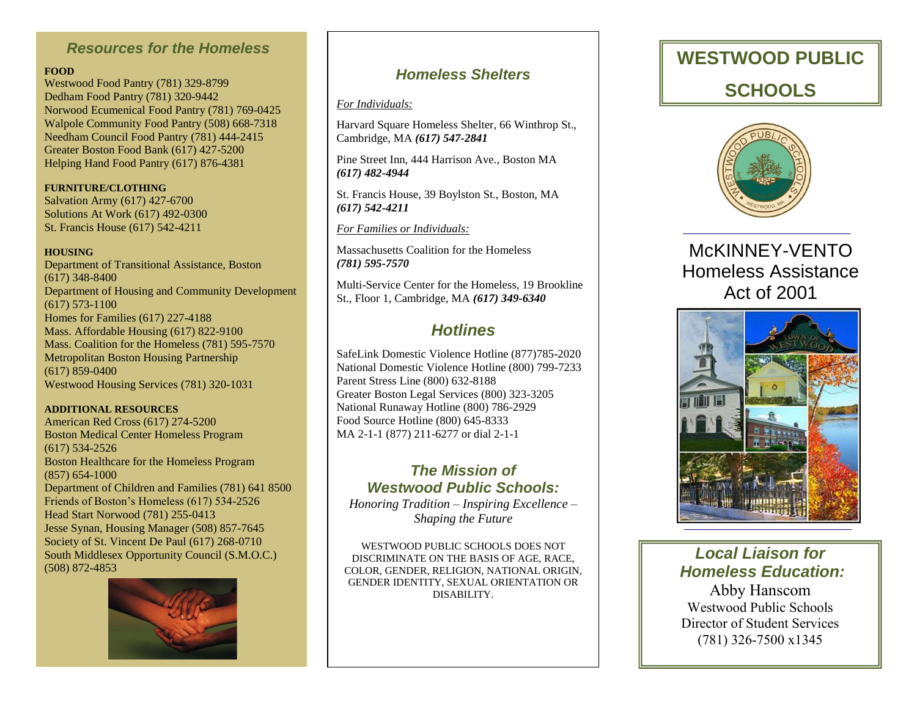### *Resources for the Homeless*

### **FOOD**

Westwood Food Pantry (781) 329-8799 Dedham Food Pantry (781) 320-9442 Norwood Ecumenical Food Pantry (781) 769-0425 Walpole Community Food Pantry (508) 668-7318 Needham Council Food Pantry (781) 444-2415 Greater Boston Food Bank (617) 427-5200 Helping Hand Food Pantry (617) 876-4381

**FURNITURE/CLOTHING** Salvation Army (617) 427-6700 Solutions At Work (617) 492-0300 St. Francis House (617) 542-4211

### **HOUSING**

Department of Transitional Assistance, Boston (617) 348-8400 Department of Housing and Community Development (617) 573-1100 Homes for Families (617) 227-4188 Mass. Affordable Housing (617) 822-9100 Mass. Coalition for the Homeless (781) 595-7570 Metropolitan Boston Housing Partnership (617) 859-0400 Westwood Housing Services (781) 320-1031

#### **ADDITIONAL RESOURCES**

American Red Cross (617) 274-5200 Boston Medical Center Homeless Program (617) 534-2526 Boston Healthcare for the Homeless Program (857) 654-1000 Department of Children and Families (781) 641 8500 Friends of Boston's Homeless (617) 534-2526 Head Start Norwood (781) 255-0413 Jesse Synan, Housing Manager (508) 857-7645 Society of St. Vincent De Paul (617) 268-0710 South Middlesex Opportunity Council (S.M.O.C.) (508) 872-4853



## *Homeless Shelters*

#### *For Individuals:*

Harvard Square Homeless Shelter, 66 Winthrop St., Cambridge, MA *(617) 547-2841*

Pine Street Inn, 444 Harrison Ave., Boston MA *(617) 482-4944*

St. Francis House, 39 Boylston St., Boston, MA *(617) 542-4211*

### *For Families or Individuals:*

Massachusetts Coalition for the Homeless *(781) 595-7570*

Multi-Service Center for the Homeless, 19 Brookline St., Floor 1, Cambridge, MA *(617) 349-6340*

## *Hotlines*

SafeLink Domestic Violence Hotline (877)785-2020 National Domestic Violence Hotline (800) 799-7233 Parent Stress Line (800) 632-8188 Greater Boston Legal Services (800) 323-3205 National Runaway Hotline (800) 786-2929 Food Source Hotline (800) 645-8333 MA 2-1-1 (877) 211-6277 or dial 2-1-1

## *The Mission of Westwood Public Schools:*

*Honoring Tradition – Inspiring Excellence – Shaping the Future*

WESTWOOD PUBLIC SCHOOLS DOES NOT DISCRIMINATE ON THE BASIS OF AGE, RACE, COLOR, GENDER, RELIGION, NATIONAL ORIGIN, GENDER IDENTITY, SEXUAL ORIENTATION OR DISABILITY.

# **WESTWOOD PUBLIC SCHOOLS**



## McKINNEY-VENTO Homeless Assistance Act of 2001



## *Local Liaison for Homeless Education:*

Abby Hanscom Westwood Public Schools Director of Student Services (781) 326-7500 x1345